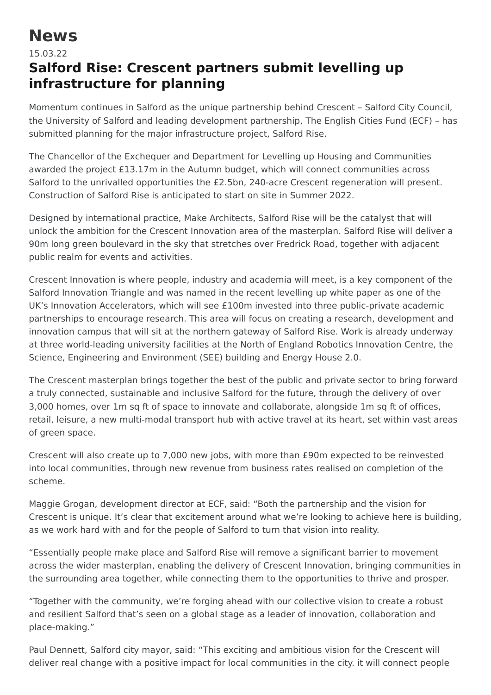## **News**

## 15.03.22 **Salford Rise: Crescent partners submit levelling up infrastructure for planning**

Momentum continues in Salford as the unique partnership behind Crescent – Salford City Council, the University of Salford and leading development partnership, The English Cities Fund (ECF) – has submitted planning for the major infrastructure project, Salford Rise.

The Chancellor of the Exchequer and Department for Levelling up Housing and Communities awarded the project £13.17m in the Autumn budget, which will connect communities across Salford to the unrivalled opportunities the £2.5bn, 240-acre Crescent regeneration will present. Construction of Salford Rise is anticipated to start on site in Summer 2022.

Designed by international practice, Make Architects, Salford Rise will be the catalyst that will unlock the ambition for the Crescent Innovation area of the masterplan. Salford Rise will deliver a 90m long green boulevard in the sky that stretches over Fredrick Road, together with adjacent public realm for events and activities.

Crescent Innovation is where people, industry and academia will meet, is a key component of the Salford Innovation Triangle and was named in the recent levelling up white paper as one of the UK's Innovation Accelerators, which will see £100m invested into three public-private academic partnerships to encourage research. This area will focus on creating a research, development and innovation campus that will sit at the northern gateway of Salford Rise. Work is already underway at three world-leading university facilities at the North of England Robotics Innovation Centre, the Science, Engineering and Environment (SEE) building and Energy House 2.0.

The Crescent masterplan brings together the best of the public and private sector to bring forward a truly connected, sustainable and inclusive Salford for the future, through the delivery of over 3,000 homes, over 1m sq ft of space to innovate and collaborate, alongside 1m sq ft of offices, retail, leisure, a new multi-modal transport hub with active travel at its heart, set within vast areas of green space.

Crescent will also create up to 7,000 new jobs, with more than £90m expected to be reinvested into local communities, through new revenue from business rates realised on completion of the scheme.

Maggie Grogan, development director at ECF, said: "Both the partnership and the vision for Crescent is unique. It's clear that excitement around what we're looking to achieve here is building, as we work hard with and for the people of Salford to turn that vision into reality.

"Essentially people make place and Salford Rise will remove a significant barrier to movement across the wider masterplan, enabling the delivery of Crescent Innovation, bringing communities in the surrounding area together, while connecting them to the opportunities to thrive and prosper.

"Together with the community, we're forging ahead with our collective vision to create a robust and resilient Salford that's seen on a global stage as a leader of innovation, collaboration and place-making."

Paul Dennett, Salford city mayor, said: "This exciting and ambitious vision for the Crescent will deliver real change with a positive impact for local communities in the city. it will connect people